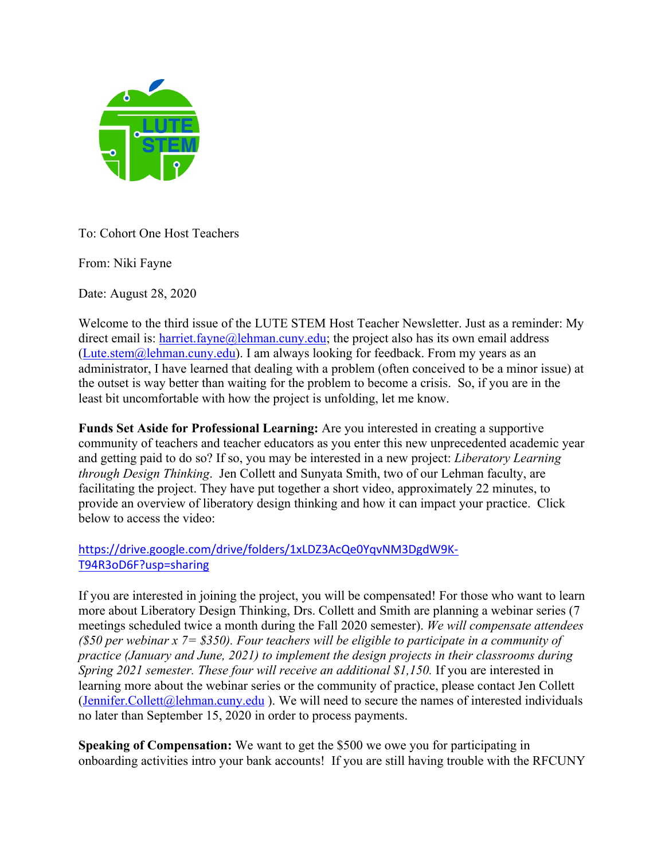

To: Cohort One Host Teachers

From: Niki Fayne

Date: August 28, 2020

Welcome to the third issue of the LUTE STEM Host Teacher Newsletter. Just as a reminder: My direct email is:  $harriet. fayne@lehman.cuny.edu;$  the project also has its own email address (Lute.stem@lehman.cuny.edu). I am always looking for feedback. From my years as an administrator, I have learned that dealing with a problem (often conceived to be a minor issue) at the outset is way better than waiting for the problem to become a crisis. So, if you are in the least bit uncomfortable with how the project is unfolding, let me know.

**Funds Set Aside for Professional Learning:** Are you interested in creating a supportive community of teachers and teacher educators as you enter this new unprecedented academic year and getting paid to do so? If so, you may be interested in a new project: *Liberatory Learning through Design Thinking*. Jen Collett and Sunyata Smith, two of our Lehman faculty, are facilitating the project. They have put together a short video, approximately 22 minutes, to provide an overview of liberatory design thinking and how it can impact your practice. Click below to access the video:

## https://drive.google.com/drive/folders/1xLDZ3AcQe0YqvNM3DgdW9K-T94R3oD6F?usp=sharing

If you are interested in joining the project, you will be compensated! For those who want to learn more about Liberatory Design Thinking, Drs. Collett and Smith are planning a webinar series (7 meetings scheduled twice a month during the Fall 2020 semester). *We will compensate attendees (\$50 per webinar x 7= \$350). Four teachers will be eligible to participate in a community of practice (January and June, 2021) to implement the design projects in their classrooms during Spring 2021 semester. These four will receive an additional \$1,150.* If you are interested in learning more about the webinar series or the community of practice, please contact Jen Collett (Jennifer.Collett@lehman.cuny.edu ). We will need to secure the names of interested individuals no later than September 15, 2020 in order to process payments.

**Speaking of Compensation:** We want to get the \$500 we owe you for participating in onboarding activities intro your bank accounts! If you are still having trouble with the RFCUNY